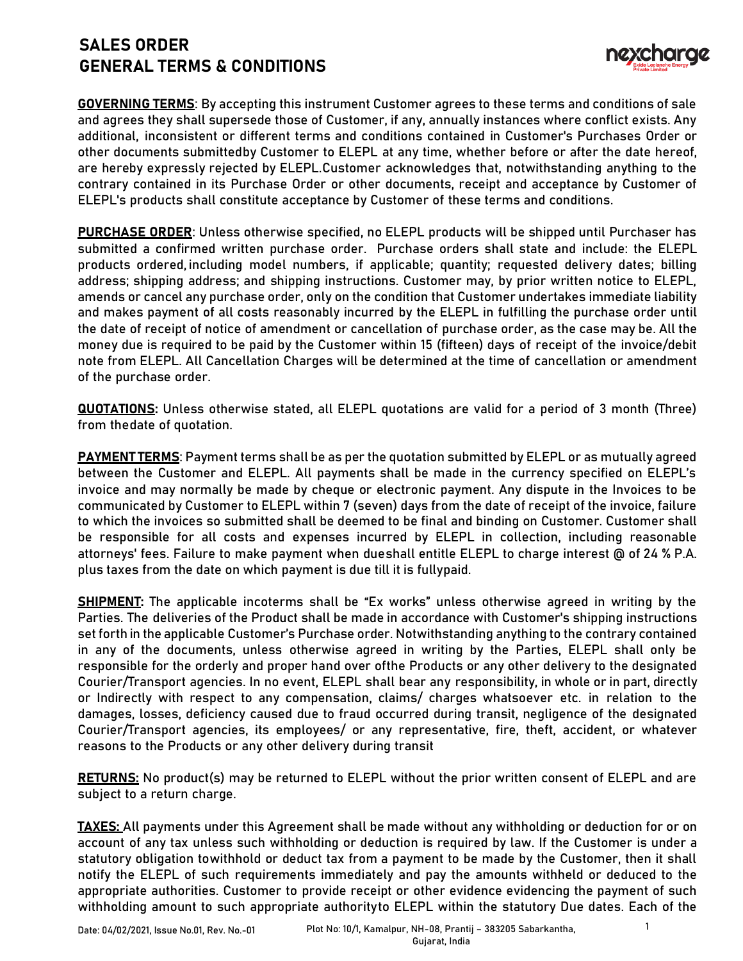## **SALES ORDER GENERAL TERMS & CONDITIONS**



**GOVERNING TERMS**: By accepting this instrument Customer agrees to these terms and conditions of sale and agrees they shall supersede those of Customer, if any, annually instances where conflict exists. Any additional, inconsistent or different terms and conditions contained in Customer's Purchases Order or other documents submittedby Customer to ELEPL at any time, whether before or after the date hereof, are hereby expressly rejected by ELEPL.Customer acknowledges that, notwithstanding anything to the contrary contained in its Purchase Order or other documents, receipt and acceptance by Customer of ELEPL's products shall constitute acceptance by Customer of these terms and conditions.

**PURCHASE ORDER**: Unless otherwise specified, no ELEPL products will be shipped until Purchaser has submitted a confirmed written purchase order. Purchase orders shall state and include: the ELEPL products ordered, including model numbers, if applicable; quantity; requested delivery dates; billing address; shipping address; and shipping instructions. Customer may, by prior written notice to ELEPL, amends or cancel any purchase order, only on the condition that Customer undertakes immediate liability and makes payment of all costs reasonably incurred by the ELEPL in fulfilling the purchase order until the date of receipt of notice of amendment or cancellation of purchase order, as the case may be. All the money due is required to be paid by the Customer within 15 (fifteen) days of receipt of the invoice/debit note from ELEPL. All Cancellation Charges will be determined at the time of cancellation or amendment of the purchase order.

**QUOTATIONS:** Unless otherwise stated, all ELEPL quotations are valid for a period of 3 month (Three) from thedate of quotation.

**PAYMENT TERMS**: Payment terms shall be as per the quotation submitted by ELEPL or as mutually agreed between the Customer and ELEPL. All payments shall be made in the currency specified on ELEPL's invoice and may normally be made by cheque or electronic payment. Any dispute in the Invoices to be communicated by Customer to ELEPL within 7 (seven) days from the date of receipt of the invoice, failure to which the invoices so submitted shall be deemed to be final and binding on Customer. Customer shall be responsible for all costs and expenses incurred by ELEPL in collection, including reasonable attorneys' fees. Failure to make payment when dueshall entitle ELEPL to charge interest @ of 24 % P.A. plus taxes from the date on which payment is due till it is fullypaid.

**SHIPMENT:** The applicable incoterms shall be "Ex works" unless otherwise agreed in writing by the Parties. The deliveries of the Product shall be made in accordance with Customer's shipping instructions set forth in the applicable Customer's Purchase order. Notwithstanding anything to the contrary contained in any of the documents, unless otherwise agreed in writing by the Parties, ELEPL shall only be responsible for the orderly and proper hand over ofthe Products or any other delivery to the designated Courier/Transport agencies. In no event, ELEPL shall bear any responsibility, in whole or in part, directly or Indirectly with respect to any compensation, claims/ charges whatsoever etc. in relation to the damages, losses, deficiency caused due to fraud occurred during transit, negligence of the designated Courier/Transport agencies, its employees/ or any representative, fire, theft, accident, or whatever reasons to the Products or any other delivery during transit

**RETURNS:** No product(s) may be returned to ELEPL without the prior written consent of ELEPL and are subject to a return charge.

**TAXES:** All payments under this Agreement shall be made without any withholding or deduction for or on account of any tax unless such withholding or deduction is required by law. If the Customer is under a statutory obligation towithhold or deduct tax from a payment to be made by the Customer, then it shall notify the ELEPL of such requirements immediately and pay the amounts withheld or deduced to the appropriate authorities. Customer to provide receipt or other evidence evidencing the payment of such withholding amount to such appropriate authorityto ELEPL within the statutory Due dates. Each of the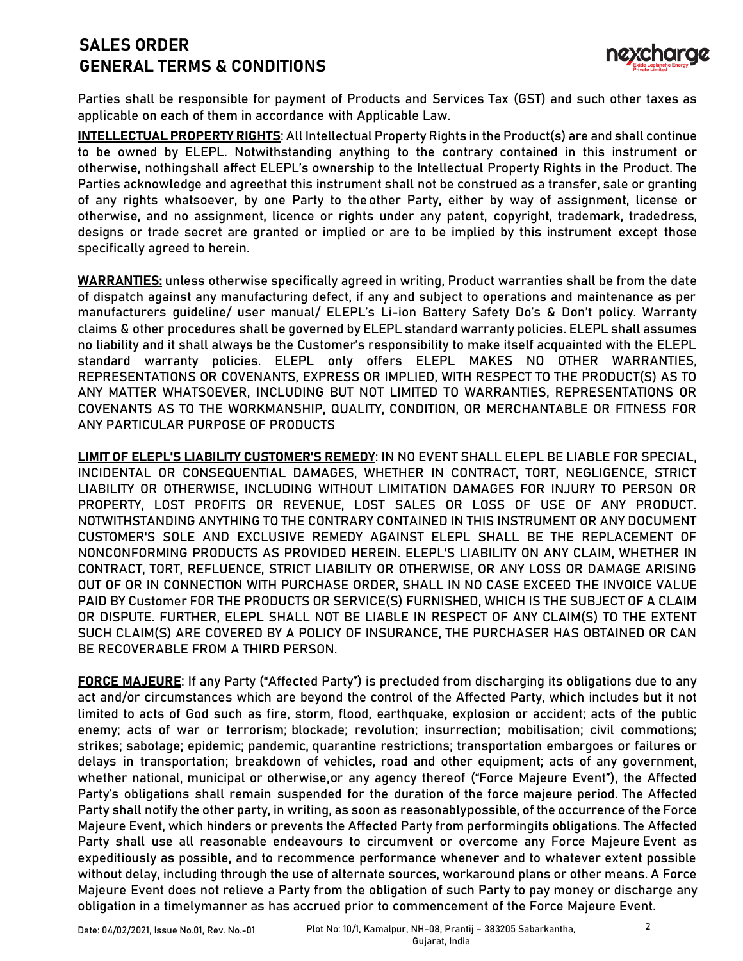## **SALES ORDER GENERAL TERMS & CONDITIONS**



Parties shall be responsible for payment of Products and Services Tax (GST) and such other taxes as applicable on each of them in accordance with Applicable Law.

**INTELLECTUAL PROPERTY RIGHTS**: All Intellectual Property Rights in the Product(s) are and shall continue to be owned by ELEPL. Notwithstanding anything to the contrary contained in this instrument or otherwise, nothingshall affect ELEPL's ownership to the Intellectual Property Rights in the Product. The Parties acknowledge and agreethat this instrument shall not be construed as a transfer, sale or granting of any rights whatsoever, by one Party to the other Party, either by way of assignment, license or otherwise, and no assignment, licence or rights under any patent, copyright, trademark, tradedress, designs or trade secret are granted or implied or are to be implied by this instrument except those specifically agreed to herein.

**WARRANTIES:** unless otherwise specifically agreed in writing, Product warranties shall be from the date of dispatch against any manufacturing defect, if any and subject to operations and maintenance as per manufacturers guideline/ user manual/ ELEPL's Li-ion Battery Safety Do's & Don't policy. Warranty claims & other procedures shall be governed by ELEPL standard warranty policies. ELEPL shall assumes no liability and it shall always be the Customer's responsibility to make itself acquainted with the ELEPL standard warranty policies. ELEPL only offers ELEPL MAKES NO OTHER WARRANTIES, REPRESENTATIONS OR COVENANTS, EXPRESS OR IMPLIED, WITH RESPECT TO THE PRODUCT(S) AS TO ANY MATTER WHATSOEVER, INCLUDING BUT NOT LIMITED TO WARRANTIES, REPRESENTATIONS OR COVENANTS AS TO THE WORKMANSHIP, QUALITY, CONDITION, OR MERCHANTABLE OR FITNESS FOR ANY PARTICULAR PURPOSE OF PRODUCTS

**LIMIT OF ELEPL'S LIABILITY CUSTOMER'S REMEDY**: IN NO EVENT SHALL ELEPL BE LIABLE FOR SPECIAL, INCIDENTAL OR CONSEQUENTIAL DAMAGES, WHETHER IN CONTRACT, TORT, NEGLIGENCE, STRICT LIABILITY OR OTHERWISE, INCLUDING WITHOUT LIMITATION DAMAGES FOR INJURY TO PERSON OR PROPERTY, LOST PROFITS OR REVENUE, LOST SALES OR LOSS OF USE OF ANY PRODUCT. NOTWITHSTANDING ANYTHING TO THE CONTRARY CONTAINED IN THIS INSTRUMENT OR ANY DOCUMENT CUSTOMER'S SOLE AND EXCLUSIVE REMEDY AGAINST ELEPL SHALL BE THE REPLACEMENT OF NONCONFORMING PRODUCTS AS PROVIDED HEREIN. ELEPL'S LIABILITY ON ANY CLAIM, WHETHER IN CONTRACT, TORT, REFLUENCE, STRICT LIABILITY OR OTHERWISE, OR ANY LOSS OR DAMAGE ARISING OUT OF OR IN CONNECTION WITH PURCHASE ORDER, SHALL IN NO CASE EXCEED THE INVOICE VALUE PAID BY Customer FOR THE PRODUCTS OR SERVICE(S) FURNISHED, WHICH IS THE SUBJECT OF A CLAIM OR DISPUTE. FURTHER, ELEPL SHALL NOT BE LIABLE IN RESPECT OF ANY CLAIM(S) TO THE EXTENT SUCH CLAIM(S) ARE COVERED BY A POLICY OF INSURANCE, THE PURCHASER HAS OBTAINED OR CAN BE RECOVERABLE FROM A THIRD PERSON.

**FORCE MAJEURE**: If any Party ("Affected Party") is precluded from discharging its obligations due to any act and/or circumstances which are beyond the control of the Affected Party, which includes but it not limited to acts of God such as fire, storm, flood, earthquake, explosion or accident; acts of the public enemy; acts of war or terrorism; blockade; revolution; insurrection; mobilisation; civil commotions; strikes; sabotage; epidemic; pandemic, quarantine restrictions; transportation embargoes or failures or delays in transportation; breakdown of vehicles, road and other equipment; acts of any government, whether national, municipal or otherwise,or any agency thereof ("Force Majeure Event"), the Affected Party's obligations shall remain suspended for the duration of the force majeure period. The Affected Party shall notify the other party, in writing, as soon as reasonablypossible, of the occurrence of the Force Majeure Event, which hinders or prevents the Affected Party from performingits obligations. The Affected Party shall use all reasonable endeavours to circumvent or overcome any Force Majeure Event as expeditiously as possible, and to recommence performance whenever and to whatever extent possible without delay, including through the use of alternate sources, workaround plans or other means. A Force Majeure Event does not relieve a Party from the obligation of such Party to pay money or discharge any obligation in a timelymanner as has accrued prior to commencement of the Force Majeure Event.